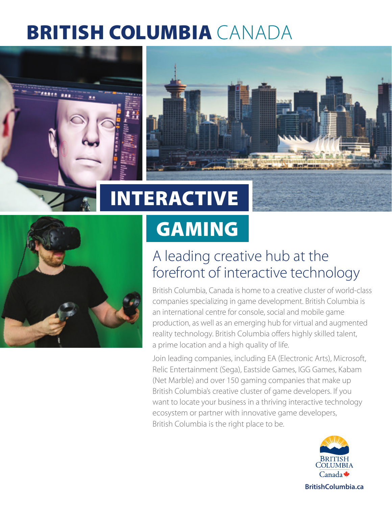# BRITISH COLUMBIA CANADA





# GAMING

## A leading creative hub at the forefront of interactive technology

British Columbia, Canada is home to a creative cluster of world-class companies specializing in game development. British Columbia is an international centre for console, social and mobile game production, as well as an emerging hub for virtual and augmented reality technology. British Columbia offers highly skilled talent, a prime location and a high quality of life.

Join leading companies, including EA (Electronic Arts), Microsoft, Relic Entertainment (Sega), Eastside Games, IGG Games, Kabam (Net Marble) and over 150 gaming companies that make up British Columbia's creative cluster of game developers. If you want to locate your business in a thriving interactive technology ecosystem or partner with innovative game developers, British Columbia is the right place to be.

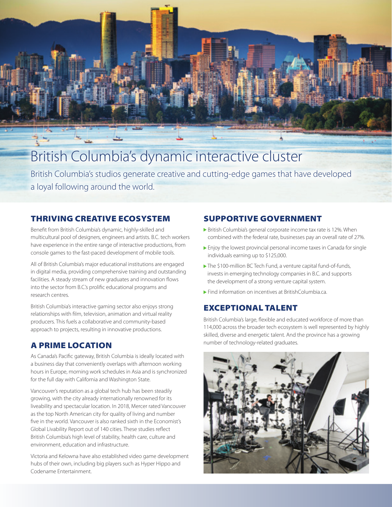

## British Columbia's dynamic interactive cluster

British Columbia's studios generate creative and cutting-edge games that have developed a loyal following around the world.

#### THRIVING CREATIVE ECOSYSTEM

Benefit from British Columbia's dynamic, highly-skilled and multicultural pool of designers, engineers and artists. B.C. tech workers have experience in the entire range of interactive productions, from console games to the fast-paced development of mobile tools.

All of British Columbia's major educational institutions are engaged in digital media, providing comprehensive training and outstanding facilities. A steady stream of new graduates and innovation flows into the sector from B.C.'s prolific educational programs and research centres.

British Columbia's interactive gaming sector also enjoys strong relationships with film, television, animation and virtual reality producers. This fuels a collaborative and community-based approach to projects, resulting in innovative productions.

### A PRIME LOCATION

As Canada's Pacific gateway, British Columbia is ideally located with a business day that conveniently overlaps with afternoon working hours in Europe, morning work schedules in Asia and is synchronized for the full day with California and Washington State.

Vancouver's reputation as a global tech hub has been steadily growing, with the city already internationally renowned for its liveability and spectacular location. In 2018, Mercer rated Vancouver as the top North American city for quality of living and number five in the world. Vancouver is also ranked sixth in the Economist's Global Livability Report out of 140 cities. These studies reflect British Columbia's high level of stability, health care, culture and environment, education and infrastructure.

Victoria and Kelowna have also established video game development hubs of their own, including big players such as Hyper Hippo and Codename Entertainment.

### SUPPORTIVE GOVERNMENT

- ▶ British Columbia's general corporate income tax rate is 12%. When combined with the federal rate, businesses pay an overall rate of 27%.
- **Enjoy the lowest provincial personal income taxes in Canada for single** individuals earning up to \$125,000.
- The \$100-million BC Tech Fund, a venture capital fund-of-funds, invests in emerging technology companies in B.C. and supports the development of a strong venture capital system.
- **Find information on incentives at [BritishColumbia.ca.](https://www.britishcolumbia.ca/)**

#### EXCEPTIONAL TALENT

British Columbia's large, flexible and educated workforce of more than 114,000 across the broader tech ecosystem is well represented by highly skilled, diverse and energetic talent. And the province has a growing number of technology-related graduates.

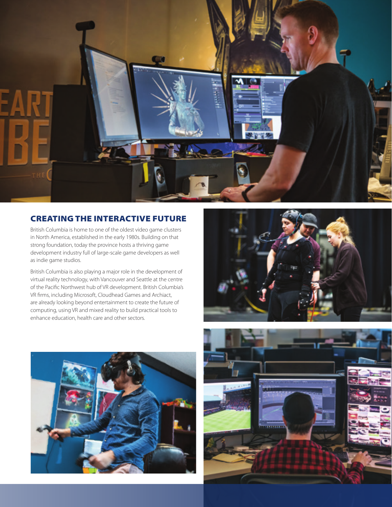

#### CREATING THE INTERACTIVE FUTURE

British Columbia is home to one of the oldest video game clusters in North America, established in the early 1980s. Building on that strong foundation, today the province hosts a thriving game development industry full of large-scale game developers as well as indie game studios.

British Columbia is also playing a major role in the development of virtual reality technology, with Vancouver and Seattle at the centre of the Pacific Northwest hub of VR development. British Columbia's VR firms, including Microsoft, Cloudhead Games and Archiact, are already looking beyond entertainment to create the future of computing, using VR and mixed reality to build practical tools to enhance education, health care and other sectors.